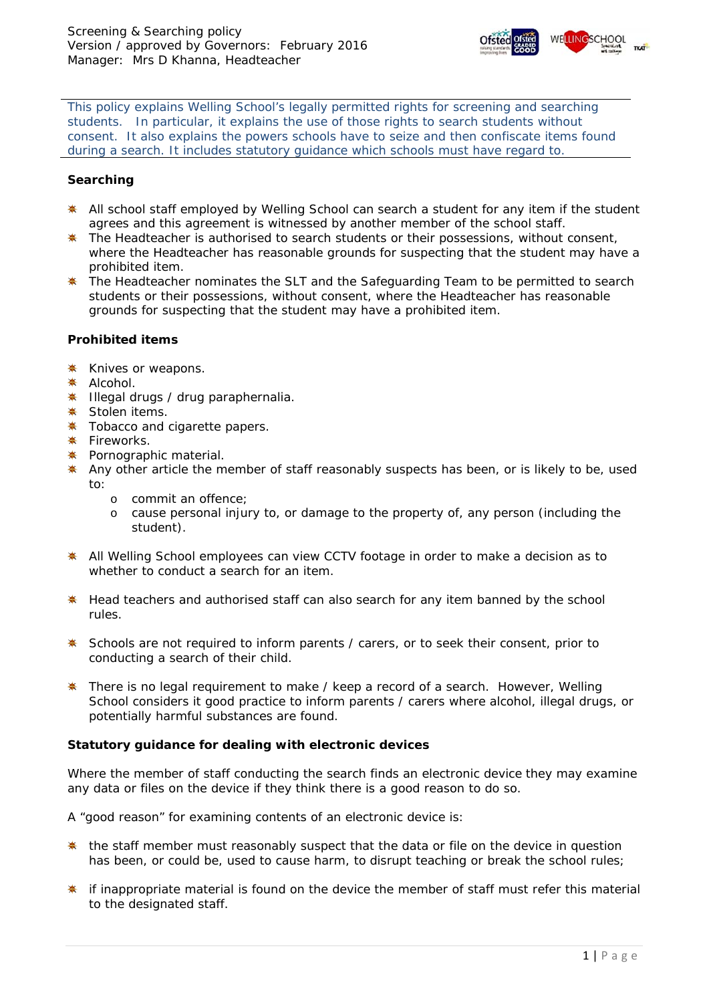

*This policy explains Welling School's legally permitted rights for screening and searching students. In particular, it explains the use of those rights to search students without consent. It also explains the powers schools have to seize and then confiscate items found during a search. It includes statutory guidance which schools must have regard to.* 

## **Searching**

- \* All school staff employed by Welling School can search a student for any item if the student agrees and this agreement is witnessed by another member of the school staff.
- $*$  The Headteacher is authorised to search students or their possessions, without consent, where the Headteacher has reasonable grounds for suspecting that the student may have a prohibited item.
- \* The Headteacher nominates the SLT and the Safeguarding Team to be permitted to search students or their possessions, without consent, where the Headteacher has reasonable grounds for suspecting that the student may have a prohibited item.

## **Prohibited items**

- **★ Knives or weapons.**
- \* Alcohol.
- **. Illegal drugs / drug paraphernalia.**
- **<del></del> \*** Stolen items.
- **\*** Tobacco and cigarette papers.
- **\*** Fireworks.
- **\*** Pornographic material.
- **\*** Any other article the member of staff reasonably suspects has been, or is likely to be, used to:
	- o commit an offence;
	- o cause personal injury to, or damage to the property of, any person (including the student).
- **\*** All Welling School employees can view CCTV footage in order to make a decision as to whether to conduct a search for an item.
- **\*** Head teachers and authorised staff can also search for any item banned by the school rules.
- **\*** Schools are not required to inform parents / carers, or to seek their consent, prior to conducting a search of their child.
- **\*** There is no legal requirement to make / keep a record of a search. However, Welling School considers it good practice to inform parents / carers where alcohol, illegal drugs, or potentially harmful substances are found.

# **Statutory guidance for dealing with electronic devices**

Where the member of staff conducting the search finds an electronic device they may examine any data or files on the device if they think there is a good reason to do so.

A "good reason" for examining contents of an electronic device is:

- $*$  the staff member must reasonably suspect that the data or file on the device in question has been, or could be, used to cause harm, to disrupt teaching or break the school rules;
- $*$  if inappropriate material is found on the device the member of staff must refer this material to the designated staff.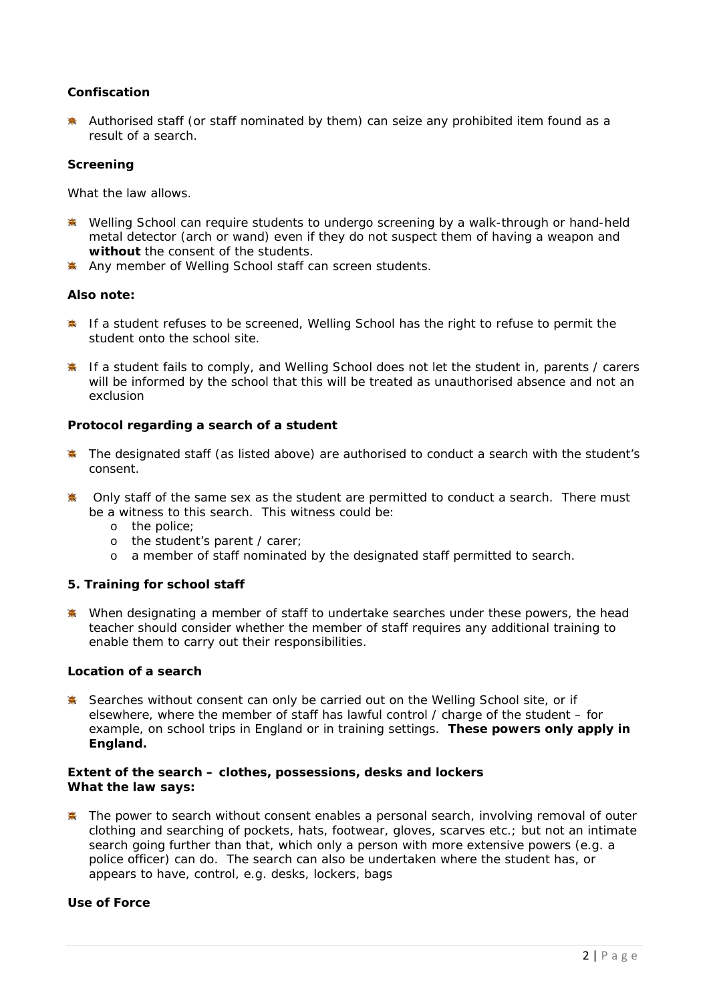# **Confiscation**

Authorised staff (or staff nominated by them) can seize any prohibited item found as a result of a search.

#### **Screening**

What the law allows.

- **\*** Welling School can require students to undergo screening by a walk-through or hand-held metal detector (*arch or wand*) even if they do not suspect them of having a weapon and **without** the consent of the students.
- Any member of Welling School staff can screen students.

## **Also note:**

- **If a student refuses to be screened. Welling School has the right to refuse to permit the** student onto the school site.
- **K** If a student fails to comply, and Welling School does not let the student in, parents / carers will be informed by the school that this will be treated as unauthorised absence and not an exclusion

## **Protocol regarding a search of a student**

- **The designated staff (as listed above) are authorised to conduct a search with the student's** consent.
- **A** Only staff of the same sex as the student are permitted to conduct a search. There must be a witness to this search. This witness could be:
	- o the police;
	- o the student's parent / carer;
	- o a member of staff nominated by the designated staff permitted to search.

## **5. Training for school staff**

When designating a member of staff to undertake searches under these powers, the head teacher should consider whether the member of staff requires any additional training to enable them to carry out their responsibilities.

#### **Location of a search**

**※** Searches without consent can only be carried out on the Welling School site, or if elsewhere, where the member of staff has lawful control / charge of the student – for example, on school trips in England or in training settings. **These powers only apply in England.**

#### **Extent of the search – clothes, possessions, desks and lockers What the law says:**

**\*** The power to search without consent enables a personal search, involving removal of outer clothing and searching of pockets, hats, footwear, gloves, scarves etc.; but not an intimate search going further than that, which only a person with more extensive powers (e.g. a police officer) can do. The search can also be undertaken where the student has, or appears to have, control, e.g. desks, lockers, bags

## **Use of Force**